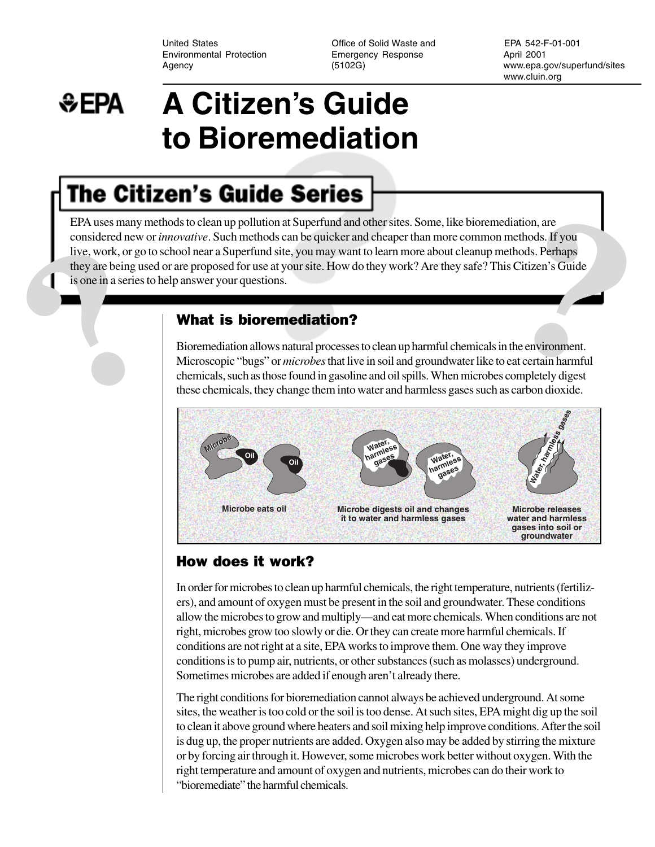Environmental Protection **Emergency Response** 

United States Office of Solid Waste and EPA 542-F-01-001

April 2001 Agency (5102G) www.epa.gov/superfund/sites www.cluin.org

## **A Citizen's Guide**  ₩EPA **to Bioremediation**

# **The Citizen's Guide Series**

EPA uses many methods to clean up pollution at Superfund and other sites. Some, like bioremediation, are<br>considered new or *innovative*. Such methods can be quicker and cheaper than more common methods. If you<br>live, work, EPA uses many methods to clean up pollution at Superfund and other sites. Some, like bioremediation, are considered new or *innovative*. Such methods can be quicker and cheaper than more common methods. If you live, work, or go to school near a Superfund site, you may want to learn more about cleanup methods. Perhaps they are being used or are proposed for use at your site. How do they work? Are they safe? This Citizen's Guide is one in a series to help answer your questions.

#### What is bioremediation?

Bioremediation allows natural processes to clean up harmful chemicals in the environment. Microscopic "bugs" or *microbes* that live in soil and groundwater like to eat certain harmful chemicals, such as those found in gasoline and oil spills. When microbes completely digest these chemicals, they change them into water and harmless gases such as carbon dioxide.



## How does it work?

In order for microbes to clean up harmful chemicals, the right temperature, nutrients (fertilizers), and amount of oxygen must be present in the soil and groundwater. These conditions allow the microbes to grow and multiply—and eat more chemicals. When conditions are not right, microbes grow too slowly or die. Or they can create more harmful chemicals. If conditions are not right at a site, EPA works to improve them. One way they improve conditions is to pump air, nutrients, or other substances (such as molasses) underground. Sometimes microbes are added if enough aren't already there.

The right conditions for bioremediation cannot always be achieved underground. At some sites, the weather is too cold or the soil is too dense. At such sites, EPA might dig up the soil to clean it above ground where heaters and soil mixing help improve conditions. After the soil is dug up, the proper nutrients are added. Oxygen also may be added by stirring the mixture or by forcing air through it. However, some microbes work better without oxygen. With the right temperature and amount of oxygen and nutrients, microbes can do their work to "bioremediate" the harmful chemicals.